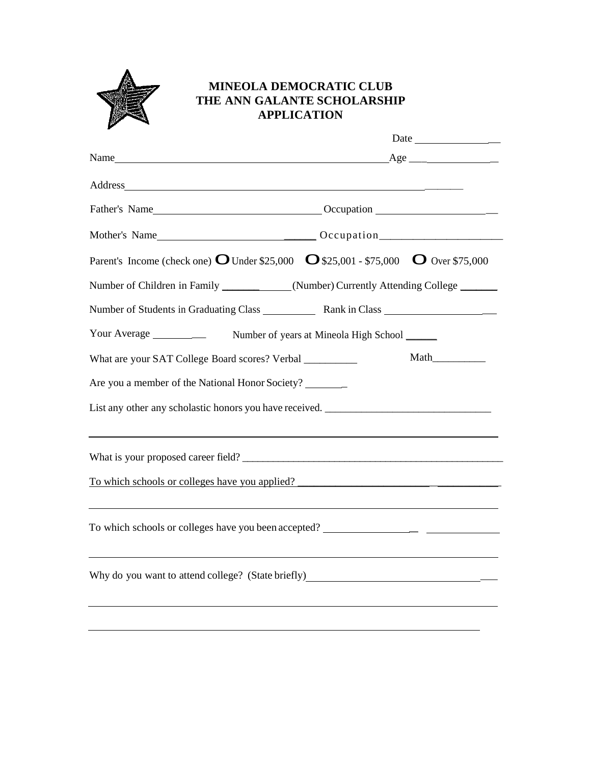

## **MINEOLA DEMOCRATIC CLUB THE ANN GALANTE SCHOLARSHIP APPLICATION**

| v                                                                                                                                                                                                                              | Age |  |
|--------------------------------------------------------------------------------------------------------------------------------------------------------------------------------------------------------------------------------|-----|--|
| Name                                                                                                                                                                                                                           |     |  |
| Address and the state of the state of the state of the state of the state of the state of the state of the state of the state of the state of the state of the state of the state of the state of the state of the state of th |     |  |
|                                                                                                                                                                                                                                |     |  |
|                                                                                                                                                                                                                                |     |  |
| Parent's Income (check one) $\bf{O}$ Under \$25,000 $\bf{O}$ \$25,001 - \$75,000 $\bf{O}$ Over \$75,000                                                                                                                        |     |  |
| Number of Children in Family ___________(Number) Currently Attending College _____                                                                                                                                             |     |  |
|                                                                                                                                                                                                                                |     |  |
| Your Average _______________ Number of years at Mineola High School ______                                                                                                                                                     |     |  |
| What are your SAT College Board scores? Verbal _________                                                                                                                                                                       |     |  |
| Are you a member of the National Honor Society?                                                                                                                                                                                |     |  |
|                                                                                                                                                                                                                                |     |  |
| <u> 1989 - Andrea Santa Andrea Andrea Santa Andrea Andrea Andrea Andrea Andrea Andrea Andrea Andrea Andrea Andre</u><br>What is your proposed career field?                                                                    |     |  |
| To which schools or colleges have you applied?                                                                                                                                                                                 |     |  |
|                                                                                                                                                                                                                                |     |  |
| To which schools or colleges have you been accepted? ___________________________                                                                                                                                               |     |  |
| Why do you want to attend college? (State briefly)_______________________________                                                                                                                                              |     |  |
|                                                                                                                                                                                                                                |     |  |
|                                                                                                                                                                                                                                |     |  |